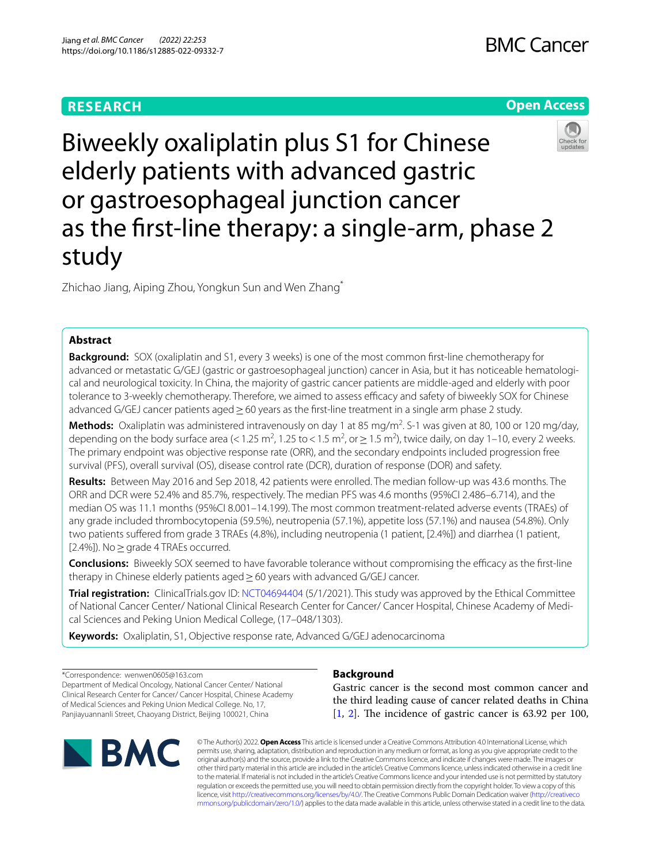# **RESEARCH**

# **Open Access**



Biweekly oxaliplatin plus S1 for Chinese elderly patients with advanced gastric or gastroesophageal junction cancer as the frst-line therapy: a single-arm, phase 2 study

Zhichao Jiang, Aiping Zhou, Yongkun Sun and Wen Zhang\*

## **Abstract**

**Background:** SOX (oxaliplatin and S1, every 3 weeks) is one of the most common frst-line chemotherapy for advanced or metastatic G/GEJ (gastric or gastroesophageal junction) cancer in Asia, but it has noticeable hematological and neurological toxicity. In China, the majority of gastric cancer patients are middle-aged and elderly with poor tolerance to 3-weekly chemotherapy. Therefore, we aimed to assess efficacy and safety of biweekly SOX for Chinese advanced G/GEJ cancer patients aged ≥60 years as the first-line treatment in a single arm phase 2 study.

Methods: Oxaliplatin was administered intravenously on day 1 at 85 mg/m<sup>2</sup>. S-1 was given at 80, 100 or 120 mg/day, depending on the body surface area (< 1.25 m<sup>2</sup>, 1.25 to < 1.5 m<sup>2</sup>, or  $\geq$  1.5 m<sup>2</sup>), twice daily, on day 1–10, every 2 weeks. The primary endpoint was objective response rate (ORR), and the secondary endpoints included progression free survival (PFS), overall survival (OS), disease control rate (DCR), duration of response (DOR) and safety.

**Results:** Between May 2016 and Sep 2018, 42 patients were enrolled. The median follow-up was 43.6 months. The ORR and DCR were 52.4% and 85.7%, respectively. The median PFS was 4.6 months (95%CI 2.486–6.714), and the median OS was 11.1 months (95%CI 8.001–14.199). The most common treatment-related adverse events (TRAEs) of any grade included thrombocytopenia (59.5%), neutropenia (57.1%), appetite loss (57.1%) and nausea (54.8%). Only two patients sufered from grade 3 TRAEs (4.8%), including neutropenia (1 patient, [2.4%]) and diarrhea (1 patient, [2.4%]). No  $\geq$  grade 4 TRAEs occurred.

**Conclusions:** Biweekly SOX seemed to have favorable tolerance without compromising the efficacy as the first-line therapy in Chinese elderly patients aged≥60 years with advanced G/GEJ cancer.

**Trial registration:** ClinicalTrials.gov ID: [NCT04694404](https://register.clinicaltrials.gov/prs/app/action/SelectProtocol?sid=S0007I7X&selectaction=Edit&uid=U0001UBS&ts=2&cx=tdu42) (5/1/2021). This study was approved by the Ethical Committee of National Cancer Center/ National Clinical Research Center for Cancer/ Cancer Hospital, Chinese Academy of Medical Sciences and Peking Union Medical College, (17–048/1303).

**Keywords:** Oxaliplatin, S1, Objective response rate, Advanced G/GEJ adenocarcinoma

\*Correspondence: wenwen0605@163.com Department of Medical Oncology, National Cancer Center/ National Clinical Research Center for Cancer/ Cancer Hospital, Chinese Academy of Medical Sciences and Peking Union Medical College. No, 17, Panjiayuannanli Street, Chaoyang District, Beijing 100021, China



## **Background**

Gastric cancer is the second most common cancer and the third leading cause of cancer related deaths in China  $[1, 2]$  $[1, 2]$  $[1, 2]$  $[1, 2]$ . The incidence of gastric cancer is 63.92 per 100,

© The Author(s) 2022. **Open Access** This article is licensed under a Creative Commons Attribution 4.0 International License, which permits use, sharing, adaptation, distribution and reproduction in any medium or format, as long as you give appropriate credit to the original author(s) and the source, provide a link to the Creative Commons licence, and indicate if changes were made. The images or other third party material in this article are included in the article's Creative Commons licence, unless indicated otherwise in a credit line to the material. If material is not included in the article's Creative Commons licence and your intended use is not permitted by statutory regulation or exceeds the permitted use, you will need to obtain permission directly from the copyright holder. To view a copy of this licence, visit [http://creativecommons.org/licenses/by/4.0/.](http://creativecommons.org/licenses/by/4.0/) The Creative Commons Public Domain Dedication waiver ([http://creativeco](http://creativecommons.org/publicdomain/zero/1.0/) [mmons.org/publicdomain/zero/1.0/](http://creativecommons.org/publicdomain/zero/1.0/)) applies to the data made available in this article, unless otherwise stated in a credit line to the data.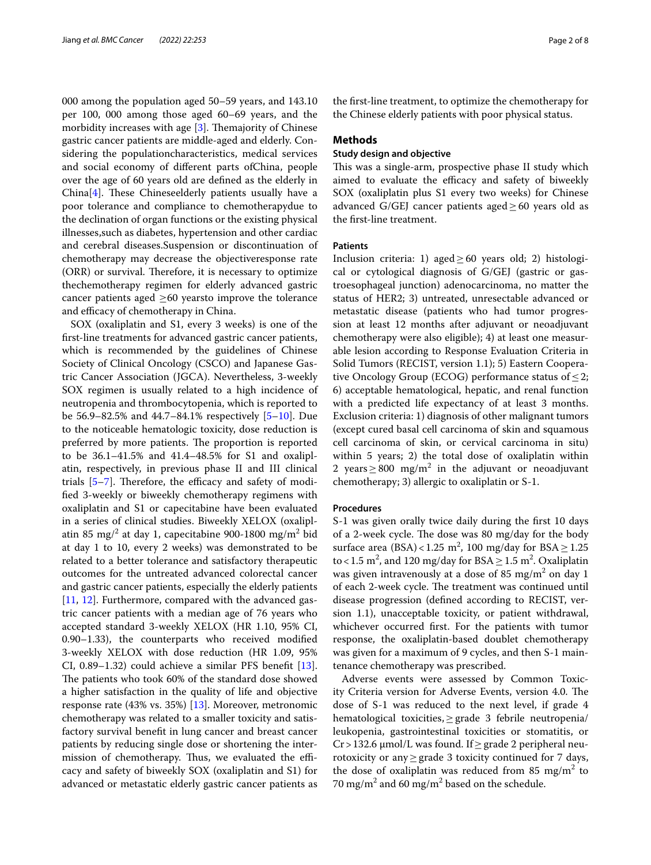000 among the population aged 50–59 years, and 143.10 per 100, 000 among those aged 60–69 years, and the morbidity increases with age  $[3]$  $[3]$ . Themajority of Chinese gastric cancer patients are middle-aged and elderly. Considering the populationcharacteristics, medical services and social economy of diferent parts ofChina, people over the age of 60 years old are defned as the elderly in  $China[4]$  $China[4]$ . These Chineseelderly patients usually have a poor tolerance and compliance to chemotherapydue to the declination of organ functions or the existing physical illnesses,such as diabetes, hypertension and other cardiac and cerebral diseases.Suspension or discontinuation of chemotherapy may decrease the objectiveresponse rate  $(ORR)$  or survival. Therefore, it is necessary to optimize thechemotherapy regimen for elderly advanced gastric cancer patients aged  $\geq 60$  yearsto improve the tolerance and efficacy of chemotherapy in China.

SOX (oxaliplatin and S1, every 3 weeks) is one of the frst-line treatments for advanced gastric cancer patients, which is recommended by the guidelines of Chinese Society of Clinical Oncology (CSCO) and Japanese Gastric Cancer Association (JGCA). Nevertheless, 3-weekly SOX regimen is usually related to a high incidence of neutropenia and thrombocytopenia, which is reported to be 56.9–82.5% and 44.7–84.1% respectively [[5–](#page-6-4)[10\]](#page-7-0). Due to the noticeable hematologic toxicity, dose reduction is preferred by more patients. The proportion is reported to be 36.1–41.5% and 41.4–48.5% for S1 and oxaliplatin, respectively, in previous phase II and III clinical trials  $[5-7]$  $[5-7]$ . Therefore, the efficacy and safety of modifed 3-weekly or biweekly chemotherapy regimens with oxaliplatin and S1 or capecitabine have been evaluated in a series of clinical studies. Biweekly XELOX (oxaliplatin 85 mg/ $^2$  at day 1, capecitabine 900-1800 mg/m $^2$  bid at day 1 to 10, every 2 weeks) was demonstrated to be related to a better tolerance and satisfactory therapeutic outcomes for the untreated advanced colorectal cancer and gastric cancer patients, especially the elderly patients [[11,](#page-7-1) [12\]](#page-7-2). Furthermore, compared with the advanced gastric cancer patients with a median age of 76 years who accepted standard 3-weekly XELOX (HR 1.10, 95% CI, 0.90–1.33), the counterparts who received modifed 3-weekly XELOX with dose reduction (HR 1.09, 95% CI, 0.89–1.32) could achieve a similar PFS beneft [\[13](#page-7-3)]. The patients who took 60% of the standard dose showed a higher satisfaction in the quality of life and objective response rate (43% vs. 35%) [[13\]](#page-7-3). Moreover, metronomic chemotherapy was related to a smaller toxicity and satisfactory survival beneft in lung cancer and breast cancer patients by reducing single dose or shortening the intermission of chemotherapy. Thus, we evaluated the efficacy and safety of biweekly SOX (oxaliplatin and S1) for advanced or metastatic elderly gastric cancer patients as

the frst-line treatment, to optimize the chemotherapy for the Chinese elderly patients with poor physical status.

### **Methods**

### **Study design and objective**

This was a single-arm, prospective phase II study which aimed to evaluate the efficacy and safety of biweekly SOX (oxaliplatin plus S1 every two weeks) for Chinese advanced G/GEJ cancer patients aged $\geq$  60 years old as the frst-line treatment.

### **Patients**

Inclusion criteria: 1) aged  $\geq 60$  years old; 2) histological or cytological diagnosis of G/GEJ (gastric or gastroesophageal junction) adenocarcinoma, no matter the status of HER2; 3) untreated, unresectable advanced or metastatic disease (patients who had tumor progression at least 12 months after adjuvant or neoadjuvant chemotherapy were also eligible); 4) at least one measurable lesion according to Response Evaluation Criteria in Solid Tumors (RECIST, version 1.1); 5) Eastern Cooperative Oncology Group (ECOG) performance status of  $\leq$ 2; 6) acceptable hematological, hepatic, and renal function with a predicted life expectancy of at least 3 months. Exclusion criteria: 1) diagnosis of other malignant tumors (except cured basal cell carcinoma of skin and squamous cell carcinoma of skin, or cervical carcinoma in situ) within 5 years; 2) the total dose of oxaliplatin within 2 years  $\geq$  800 mg/m<sup>2</sup> in the adjuvant or neoadjuvant chemotherapy; 3) allergic to oxaliplatin or S-1.

#### **Procedures**

S-1 was given orally twice daily during the frst 10 days of a 2-week cycle. The dose was 80 mg/day for the body surface area (BSA)<1.25 m<sup>2</sup>, 100 mg/day for BSA $\geq$ 1.25 to < 1.5 m<sup>2</sup>, and 120 mg/day for BSA  $\geq$  1.5 m<sup>2</sup>. Oxaliplatin was given intravenously at a dose of 85 mg/ $m<sup>2</sup>$  on day 1 of each 2-week cycle. The treatment was continued until disease progression (defned according to RECIST, version 1.1), unacceptable toxicity, or patient withdrawal, whichever occurred frst. For the patients with tumor response, the oxaliplatin-based doublet chemotherapy was given for a maximum of 9 cycles, and then S-1 maintenance chemotherapy was prescribed.

Adverse events were assessed by Common Toxicity Criteria version for Adverse Events, version 4.0. The dose of S-1 was reduced to the next level, if grade 4 hematological toxicities,≥grade 3 febrile neutropenia/ leukopenia, gastrointestinal toxicities or stomatitis, or Cr>132.6 μmol/L was found. If≥grade 2 peripheral neurotoxicity or any  $\geq$  grade 3 toxicity continued for 7 days, the dose of oxaliplatin was reduced from 85  $mg/m^2$  to 70 mg/m<sup>2</sup> and 60 mg/m<sup>2</sup> based on the schedule.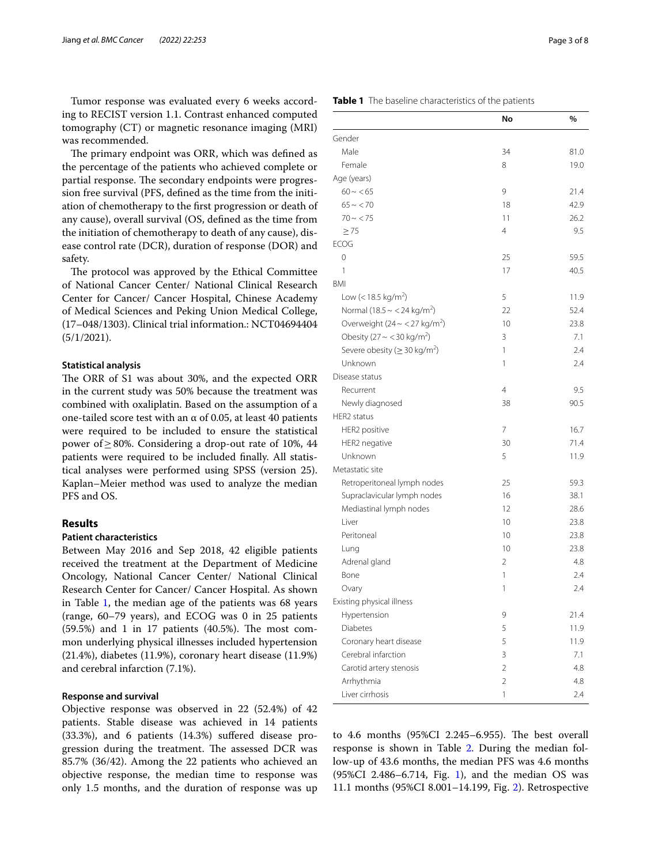Tumor response was evaluated every 6 weeks according to RECIST version 1.1. Contrast enhanced computed tomography (CT) or magnetic resonance imaging (MRI) was recommended.

The primary endpoint was ORR, which was defined as the percentage of the patients who achieved complete or partial response. The secondary endpoints were progression free survival (PFS, defned as the time from the initiation of chemotherapy to the frst progression or death of any cause), overall survival (OS, defned as the time from the initiation of chemotherapy to death of any cause), disease control rate (DCR), duration of response (DOR) and safety.

The protocol was approved by the Ethical Committee of National Cancer Center/ National Clinical Research Center for Cancer/ Cancer Hospital, Chinese Academy of Medical Sciences and Peking Union Medical College, (17–048/1303). Clinical trial information.: NCT04694404 (5/1/2021).

### **Statistical analysis**

The ORR of S1 was about 30%, and the expected ORR in the current study was 50% because the treatment was combined with oxaliplatin. Based on the assumption of a one-tailed score test with an α of 0.05, at least 40 patients were required to be included to ensure the statistical power of≥80%. Considering a drop-out rate of 10%, 44 patients were required to be included fnally. All statistical analyses were performed using SPSS (version 25). Kaplan–Meier method was used to analyze the median PFS and OS.

### **Results**

### **Patient characteristics**

Between May 2016 and Sep 2018, 42 eligible patients received the treatment at the Department of Medicine Oncology, National Cancer Center/ National Clinical Research Center for Cancer/ Cancer Hospital. As shown in Table  $1$ , the median age of the patients was 68 years (range, 60–79 years), and ECOG was 0 in 25 patients  $(59.5%)$  and 1 in 17 patients  $(40.5%)$ . The most common underlying physical illnesses included hypertension (21.4%), diabetes (11.9%), coronary heart disease (11.9%) and cerebral infarction (7.1%).

### **Response and survival**

Objective response was observed in 22 (52.4%) of 42 patients. Stable disease was achieved in 14 patients (33.3%), and 6 patients (14.3%) sufered disease progression during the treatment. The assessed DCR was 85.7% (36/42). Among the 22 patients who achieved an objective response, the median time to response was only 1.5 months, and the duration of response was up

### <span id="page-2-0"></span>**Table 1** The baseline characteristics of the patients

|                                                 | No             | %    |
|-------------------------------------------------|----------------|------|
| Gender                                          |                |      |
| Male                                            | 34             | 81.0 |
| Female                                          | 8              | 19.0 |
| Age (years)                                     |                |      |
| $60 - 65$                                       | 9              | 21.4 |
| $65 \sim 70$                                    | 18             | 42.9 |
| $70 - 75$                                       | 11             | 26.2 |
| $\geq 75$                                       | 4              | 9.5  |
| <b>ECOG</b>                                     |                |      |
| 0                                               | 25             | 59.5 |
| 1                                               | 17             | 40.5 |
| <b>BMI</b>                                      |                |      |
| Low (< 18.5 kg/m <sup>2</sup> )                 | 5              | 11.9 |
| Normal (18.5 ~ < 24 kg/m <sup>2</sup> )         | 22             | 52.4 |
| Overweight ( $24 \sim$ < 27 kg/m <sup>2</sup> ) | 10             | 23.8 |
| Obesity (27 ~ < 30 kg/m <sup>2</sup> )          | 3              | 7.1  |
| Severe obesity ( $\geq$ 30 kg/m <sup>2</sup> )  | 1              | 2.4  |
| Unknown                                         | 1              | 2.4  |
| Disease status                                  |                |      |
| Recurrent                                       | $\overline{4}$ | 9.5  |
| Newly diagnosed                                 | 38             | 90.5 |
| <b>HER2</b> status                              |                |      |
| HER2 positive                                   | 7              | 16.7 |
| HER2 negative                                   | 30             | 71.4 |
| Unknown                                         | 5              | 11.9 |
| Metastatic site                                 |                |      |
| Retroperitoneal lymph nodes                     | 25             | 59.3 |
| Supraclavicular lymph nodes                     | 16             | 38.1 |
| Mediastinal lymph nodes                         | 12             | 28.6 |
| Liver                                           | 10             | 23.8 |
| Peritoneal                                      | 10             | 23.8 |
| Lung                                            | 10             | 23.8 |
| Adrenal gland                                   | 2              | 4.8  |
| Bone                                            | 1              | 2.4  |
| Ovary                                           | 1              | 2.4  |
| Existing physical illness                       |                |      |
| Hypertension                                    | 9              | 21.4 |
| <b>Diabetes</b>                                 | 5              | 11.9 |
| Coronary heart disease                          | 5              | 11.9 |
| Cerebral infarction                             | 3              | 7.1  |
| Carotid artery stenosis                         | 2              | 4.8  |
| Arrhythmia                                      | 2              | 4.8  |
| Liver cirrhosis                                 | 1              | 2.4  |

to 4.6 months  $(95\%CI$  2.245–6.955). The best overall response is shown in Table [2.](#page-3-0) During the median follow-up of 43.6 months, the median PFS was 4.6 months (95%CI 2.486–6.7[1](#page-4-0)4, Fig. 1), and the median OS was 11.1 months (95%CI 8.001–14.199, Fig. [2](#page-5-0)). Retrospective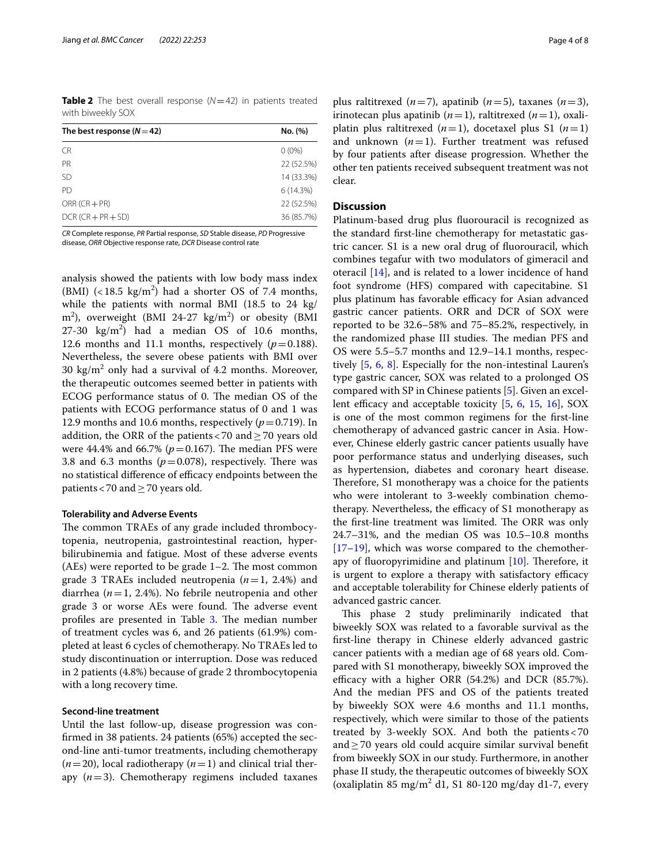<span id="page-3-0"></span>**Table 2** The best overall response (*N*=42) in patients treated with biweekly SOX

| The best response $(N=42)$ | No. (%)    |  |  |
|----------------------------|------------|--|--|
| <b>CR</b>                  | $0(0\%)$   |  |  |
| <b>PR</b>                  | 22 (52.5%) |  |  |
| <b>SD</b>                  | 14 (33.3%) |  |  |
| PD.                        | 6(14.3%)   |  |  |
| $ORR (CR + PR)$            | 22 (52.5%) |  |  |
| $DCR (CR + PR + SD)$       | 36 (85.7%) |  |  |

*CR* Complete response, *PR* Partial response, *SD* Stable disease, *PD* Progressive disease, *ORR* Objective response rate, *DCR* Disease control rate

analysis showed the patients with low body mass index (BMI)  $\left($  < 18.5 kg/m<sup>2</sup>) had a shorter OS of 7.4 months, while the patients with normal BMI (18.5 to 24 kg/ m<sup>2</sup>), overweight (BMI 24-27 kg/m<sup>2</sup>) or obesity (BMI 27-30  $\text{kg/m}^2$ ) had a median OS of 10.6 months, 12.6 months and 11.1 months, respectively  $(p=0.188)$ . Nevertheless, the severe obese patients with BMI over 30  $\text{kg/m}^2$  only had a survival of 4.2 months. Moreover, the therapeutic outcomes seemed better in patients with ECOG performance status of 0. The median OS of the patients with ECOG performance status of 0 and 1 was 12.9 months and 10.6 months, respectively  $(p=0.719)$ . In addition, the ORR of the patients <70 and  $\geq$  70 years old were 44.4% and 66.7% ( $p = 0.167$ ). The median PFS were 3.8 and 6.3 months  $(p=0.078)$ , respectively. There was no statistical difference of efficacy endpoints between the patients<70 and≥70 years old.

## **Tolerability and Adverse Events**

The common TRAEs of any grade included thrombocytopenia, neutropenia, gastrointestinal reaction, hyperbilirubinemia and fatigue. Most of these adverse events  $(AEs)$  were reported to be grade  $1-2$ . The most common grade 3 TRAEs included neutropenia (*n*=1, 2.4%) and diarrhea (*n*=1, 2.4%). No febrile neutropenia and other grade 3 or worse AEs were found. The adverse event profiles are presented in Table [3.](#page-5-1) The median number of treatment cycles was 6, and 26 patients (61.9%) completed at least 6 cycles of chemotherapy. No TRAEs led to study discontinuation or interruption. Dose was reduced in 2 patients (4.8%) because of grade 2 thrombocytopenia with a long recovery time.

### **Second‑line treatment**

Until the last follow-up, disease progression was confrmed in 38 patients. 24 patients (65%) accepted the second-line anti-tumor treatments, including chemotherapy  $(n=20)$ , local radiotherapy  $(n=1)$  and clinical trial therapy (*n*=3). Chemotherapy regimens included taxanes

plus raltitrexed  $(n=7)$ , apatinib  $(n=5)$ , taxanes  $(n=3)$ , irinotecan plus apatinib  $(n=1)$ , raltitrexed  $(n=1)$ , oxaliplatin plus raltitrexed  $(n=1)$ , docetaxel plus S1  $(n=1)$ and unknown  $(n=1)$ . Further treatment was refused by four patients after disease progression. Whether the other ten patients received subsequent treatment was not clear.

### **Discussion**

Platinum-based drug plus fuorouracil is recognized as the standard frst-line chemotherapy for metastatic gastric cancer. S1 is a new oral drug of fuorouracil, which combines tegafur with two modulators of gimeracil and oteracil [[14\]](#page-7-4), and is related to a lower incidence of hand foot syndrome (HFS) compared with capecitabine. S1 plus platinum has favorable efficacy for Asian advanced gastric cancer patients. ORR and DCR of SOX were reported to be 32.6–58% and 75–85.2%, respectively, in the randomized phase III studies. The median PFS and OS were 5.5–5.7 months and 12.9–14.1 months, respectively [\[5](#page-6-4), [6,](#page-6-6) [8](#page-7-5)]. Especially for the non-intestinal Lauren's type gastric cancer, SOX was related to a prolonged OS compared with SP in Chinese patients [[5\]](#page-6-4). Given an excellent efficacy and acceptable toxicity  $[5, 6, 15, 16]$  $[5, 6, 15, 16]$  $[5, 6, 15, 16]$  $[5, 6, 15, 16]$  $[5, 6, 15, 16]$  $[5, 6, 15, 16]$  $[5, 6, 15, 16]$ , SOX is one of the most common regimens for the frst-line chemotherapy of advanced gastric cancer in Asia. However, Chinese elderly gastric cancer patients usually have poor performance status and underlying diseases, such as hypertension, diabetes and coronary heart disease. Therefore, S1 monotherapy was a choice for the patients who were intolerant to 3-weekly combination chemotherapy. Nevertheless, the efficacy of S1 monotherapy as the first-line treatment was limited. The ORR was only 24.7–31%, and the median OS was 10.5–10.8 months [[17–](#page-7-8)[19\]](#page-7-9), which was worse compared to the chemotherapy of fluoropyrimidine and platinum  $[10]$  $[10]$ . Therefore, it is urgent to explore a therapy with satisfactory efficacy and acceptable tolerability for Chinese elderly patients of advanced gastric cancer.

This phase 2 study preliminarily indicated that biweekly SOX was related to a favorable survival as the frst-line therapy in Chinese elderly advanced gastric cancer patients with a median age of 68 years old. Compared with S1 monotherapy, biweekly SOX improved the efficacy with a higher ORR  $(54.2%)$  and DCR  $(85.7%).$ And the median PFS and OS of the patients treated by biweekly SOX were 4.6 months and 11.1 months, respectively, which were similar to those of the patients treated by 3-weekly SOX. And both the patients<70 and≥70 years old could acquire similar survival beneft from biweekly SOX in our study. Furthermore, in another phase II study, the therapeutic outcomes of biweekly SOX (oxaliplatin 85 mg/m<sup>2</sup> d1, S1 80-120 mg/day d1-7, every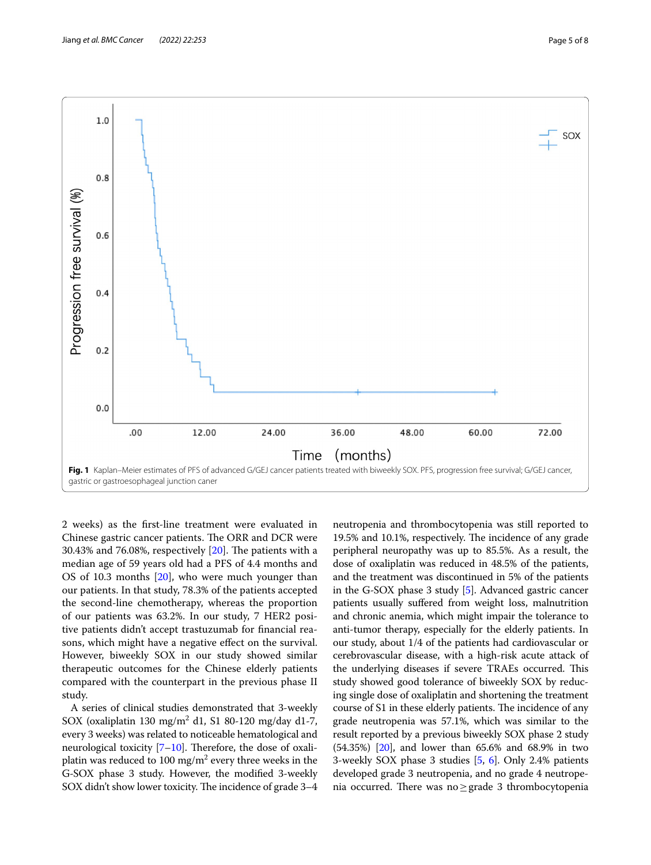

<span id="page-4-0"></span>2 weeks) as the frst-line treatment were evaluated in Chinese gastric cancer patients. The ORR and DCR were 30.43% and 76.08%, respectively  $[20]$  $[20]$ . The patients with a median age of 59 years old had a PFS of 4.4 months and OS of 10.3 months [\[20\]](#page-7-10), who were much younger than our patients. In that study, 78.3% of the patients accepted the second-line chemotherapy, whereas the proportion of our patients was 63.2%. In our study, 7 HER2 positive patients didn't accept trastuzumab for fnancial reasons, which might have a negative efect on the survival. However, biweekly SOX in our study showed similar therapeutic outcomes for the Chinese elderly patients compared with the counterpart in the previous phase II study.

A series of clinical studies demonstrated that 3-weekly SOX (oxaliplatin 130  $mg/m^2$  d1, S1 80-120 mg/day d1-7, every 3 weeks) was related to noticeable hematological and neurological toxicity  $[7-10]$  $[7-10]$  $[7-10]$ . Therefore, the dose of oxaliplatin was reduced to 100 mg/m $^2$  every three weeks in the G-SOX phase 3 study. However, the modifed 3-weekly SOX didn't show lower toxicity. The incidence of grade 3-4

neutropenia and thrombocytopenia was still reported to 19.5% and 10.1%, respectively. The incidence of any grade peripheral neuropathy was up to 85.5%. As a result, the dose of oxaliplatin was reduced in 48.5% of the patients, and the treatment was discontinued in 5% of the patients in the G-SOX phase 3 study [\[5\]](#page-6-4). Advanced gastric cancer patients usually sufered from weight loss, malnutrition and chronic anemia, which might impair the tolerance to anti-tumor therapy, especially for the elderly patients. In our study, about 1/4 of the patients had cardiovascular or cerebrovascular disease, with a high-risk acute attack of the underlying diseases if severe TRAEs occurred. This study showed good tolerance of biweekly SOX by reducing single dose of oxaliplatin and shortening the treatment course of S1 in these elderly patients. The incidence of any grade neutropenia was 57.1%, which was similar to the result reported by a previous biweekly SOX phase 2 study (54.35%) [[20](#page-7-10)], and lower than 65.6% and 68.9% in two 3-weekly SOX phase 3 studies [[5](#page-6-4), [6](#page-6-6)]. Only 2.4% patients developed grade 3 neutropenia, and no grade 4 neutropenia occurred. There was no≥grade 3 thrombocytopenia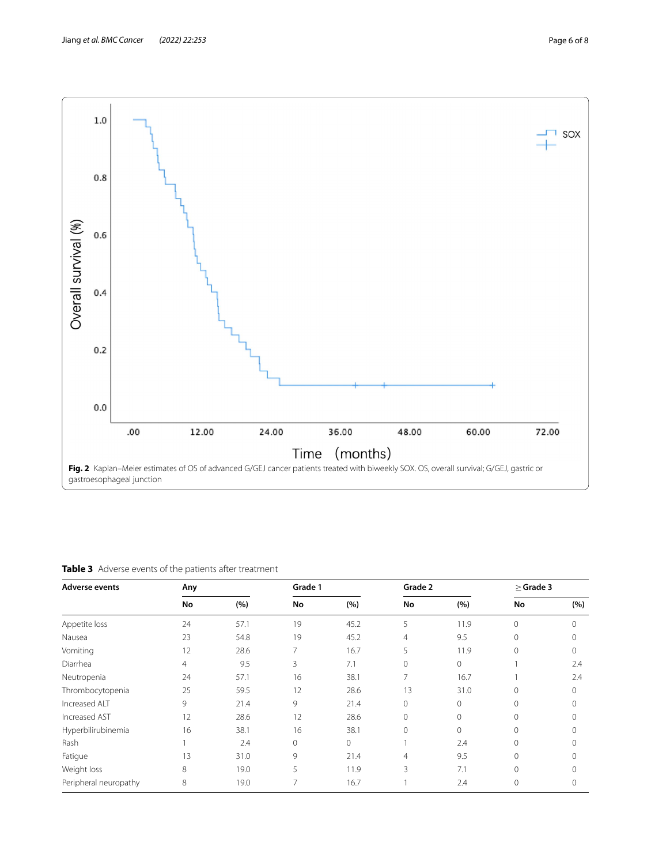

<span id="page-5-1"></span><span id="page-5-0"></span>**Table 3** Adverse events of the patients after treatment

| <b>Adverse events</b> | Any |      | Grade 1        |          | Grade 2        |              | $>$ Grade 3  |          |
|-----------------------|-----|------|----------------|----------|----------------|--------------|--------------|----------|
|                       | No  | (%)  | No             | (%)      | No             | (%)          | No           | (%)      |
| Appetite loss         | 24  | 57.1 | 19             | 45.2     | 5              | 11.9         | $\mathbf{0}$ | 0        |
| Nausea                | 23  | 54.8 | 19             | 45.2     | 4              | 9.5          | $\mathbf{0}$ | $\Omega$ |
| Vomiting              | 12  | 28.6 | $\overline{7}$ | 16.7     | 5              | 11.9         | $\Omega$     | $\Omega$ |
| Diarrhea              | 4   | 9.5  | 3              | 7.1      | 0              | $\mathbf 0$  |              | 2.4      |
| Neutropenia           | 24  | 57.1 | 16             | 38.1     | 7              | 16.7         |              | 2.4      |
| Thrombocytopenia      | 25  | 59.5 | 12             | 28.6     | 13             | 31.0         | $\mathbf 0$  | $\Omega$ |
| Increased ALT         | 9   | 21.4 | 9              | 21.4     | $\mathbf{0}$   | $\mathbf{0}$ | $\mathbf 0$  | $\Omega$ |
| Increased AST         | 12  | 28.6 | 12             | 28.6     | $\mathbf{0}$   | $\mathbf 0$  | $\mathbf{0}$ | $\Omega$ |
| Hyperbilirubinemia    | 16  | 38.1 | 16             | 38.1     | $\Omega$       | $\mathbf{0}$ | $\mathbf{0}$ | $\Omega$ |
| Rash                  |     | 2.4  | 0              | $\Omega$ |                | 2.4          | $\mathbf 0$  | $\Omega$ |
| Fatigue               | 13  | 31.0 | 9              | 21.4     | $\overline{4}$ | 9.5          | $\circ$      | $\Omega$ |
| Weight loss           | 8   | 19.0 | 5              | 11.9     | 3              | 7.1          | $\Omega$     | $\Omega$ |
| Peripheral neuropathy | 8   | 19.0 | $\overline{7}$ | 16.7     |                | 2.4          | 0            | 0        |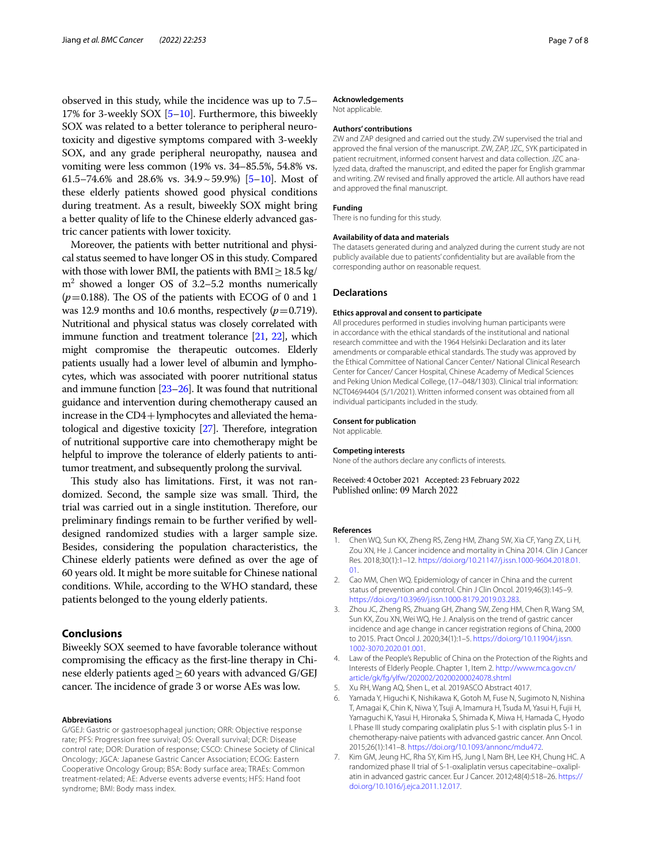observed in this study, while the incidence was up to 7.5– 17% for 3-weekly SOX [\[5](#page-6-4)[–10\]](#page-7-0). Furthermore, this biweekly SOX was related to a better tolerance to peripheral neurotoxicity and digestive symptoms compared with 3-weekly SOX, and any grade peripheral neuropathy, nausea and vomiting were less common (19% vs. 34–85.5%, 54.8% vs. 61.5–74.6% and 28.6% vs. 34.9~59.9%) [\[5](#page-6-4)[–10\]](#page-7-0). Most of these elderly patients showed good physical conditions during treatment. As a result, biweekly SOX might bring a better quality of life to the Chinese elderly advanced gastric cancer patients with lower toxicity.

Moreover, the patients with better nutritional and physical status seemed to have longer OS in this study. Compared with those with lower BMI, the patients with  $\text{BMI} \geq 18.5 \text{ kg}$ / m2 showed a longer OS of 3.2–5.2 months numerically  $(p=0.188)$ . The OS of the patients with ECOG of 0 and 1 was 12.9 months and 10.6 months, respectively  $(p=0.719)$ . Nutritional and physical status was closely correlated with immune function and treatment tolerance [\[21,](#page-7-11) [22\]](#page-7-12), which might compromise the therapeutic outcomes. Elderly patients usually had a lower level of albumin and lymphocytes, which was associated with poorer nutritional status and immune function [[23](#page-7-13)[–26](#page-7-14)]. It was found that nutritional guidance and intervention during chemotherapy caused an increase in the CD4+lymphocytes and alleviated the hematological and digestive toxicity  $[27]$ . Therefore, integration of nutritional supportive care into chemotherapy might be helpful to improve the tolerance of elderly patients to antitumor treatment, and subsequently prolong the survival.

This study also has limitations. First, it was not randomized. Second, the sample size was small. Third, the trial was carried out in a single institution. Therefore, our preliminary fndings remain to be further verifed by welldesigned randomized studies with a larger sample size. Besides, considering the population characteristics, the Chinese elderly patients were defned as over the age of 60 years old. It might be more suitable for Chinese national conditions. While, according to the WHO standard, these patients belonged to the young elderly patients.

## **Conclusions**

Biweekly SOX seemed to have favorable tolerance without compromising the efficacy as the first-line therapy in Chinese elderly patients aged ≥ 60 years with advanced G/GEJ cancer. The incidence of grade 3 or worse AEs was low.

### **Abbreviations**

G/GEJ: Gastric or gastroesophageal junction; ORR: Objective response rate; PFS: Progression free survival; OS: Overall survival; DCR: Disease control rate; DOR: Duration of response; CSCO: Chinese Society of Clinical Oncology; JGCA: Japanese Gastric Cancer Association; ECOG: Eastern Cooperative Oncology Group; BSA: Body surface area; TRAEs: Common treatment-related; AE: Adverse events adverse events; HFS: Hand foot syndrome; BMI: Body mass index.

### **Acknowledgements**

Not applicable.

### **Authors' contributions**

ZW and ZAP designed and carried out the study. ZW supervised the trial and approved the fnal version of the manuscript. ZW, ZAP, JZC, SYK participated in patient recruitment, informed consent harvest and data collection. JZC analyzed data, drafted the manuscript, and edited the paper for English grammar and writing. ZW revised and fnally approved the article. All authors have read and approved the fnal manuscript.

### **Funding**

There is no funding for this study.

### **Availability of data and materials**

The datasets generated during and analyzed during the current study are not publicly available due to patients' confdentiality but are available from the corresponding author on reasonable request.

#### **Declarations**

#### **Ethics approval and consent to participate**

All procedures performed in studies involving human participants were in accordance with the ethical standards of the institutional and national research committee and with the 1964 Helsinki Declaration and its later amendments or comparable ethical standards. The study was approved by the Ethical Committee of National Cancer Center/ National Clinical Research Center for Cancer/ Cancer Hospital, Chinese Academy of Medical Sciences and Peking Union Medical College, (17–048/1303). Clinical trial information: NCT04694404 (5/1/2021). Written informed consent was obtained from all individual participants included in the study.

### **Consent for publication**

Not applicable.

#### **Competing interests**

None of the authors declare any conficts of interests.

Received: 4 October 2021 Accepted: 23 February 2022 Published online: 09 March 2022

#### **References**

- <span id="page-6-0"></span>1. Chen WQ, Sun KX, Zheng RS, Zeng HM, Zhang SW, Xia CF, Yang ZX, Li H, Zou XN, He J. Cancer incidence and mortality in China 2014. Clin J Cancer Res. 2018;30(1):1–12. [https://doi.org/10.21147/j.issn.1000-9604.2018.01.](https://doi.org/10.21147/j.issn.1000-9604.2018.01.01) [01](https://doi.org/10.21147/j.issn.1000-9604.2018.01.01).
- <span id="page-6-1"></span>2. Cao MM, Chen WQ. Epidemiology of cancer in China and the current status of prevention and control. Chin J Clin Oncol. 2019;46(3):145–9. <https://doi.org/10.3969/j.issn.1000-8179.2019.03.283>.
- <span id="page-6-2"></span>3. Zhou JC, Zheng RS, Zhuang GH, Zhang SW, Zeng HM, Chen R, Wang SM, Sun KX, Zou XN, Wei WQ, He J. Analysis on the trend of gastric cancer incidence and age change in cancer registration regions of China, 2000 to 2015. Pract Oncol J. 2020;34(1):1–5. [https://doi.org/10.11904/j.issn.](https://doi.org/10.11904/j.issn.1002-3070.2020.01.001) [1002-3070.2020.01.001](https://doi.org/10.11904/j.issn.1002-3070.2020.01.001).
- <span id="page-6-3"></span>4. Law of the People's Republic of China on the Protection of the Rights and Interests of Elderly People. Chapter 1, Item 2. [http://www.mca.gov.cn/](http://www.mca.gov.cn/article/gk/fg/ylfw/202002/20200200024078.shtml) [article/gk/fg/ylfw/202002/20200200024078.shtml](http://www.mca.gov.cn/article/gk/fg/ylfw/202002/20200200024078.shtml)
- <span id="page-6-4"></span>5. Xu RH, Wang AQ, Shen L, et al. 2019ASCO Abstract 4017.
- <span id="page-6-6"></span>6. Yamada Y, Higuchi K, Nishikawa K, Gotoh M, Fuse N, Sugimoto N, Nishina T, Amagai K, Chin K, Niwa Y, Tsuji A, Imamura H, Tsuda M, Yasui H, Fujii H, Yamaguchi K, Yasui H, Hironaka S, Shimada K, Miwa H, Hamada C, Hyodo I. Phase III study comparing oxaliplatin plus S-1 with cisplatin plus S-1 in chemotherapy-naive patients with advanced gastric cancer. Ann Oncol. 2015;26(1):141–8. [https://doi.org/10.1093/annonc/mdu472.](https://doi.org/10.1093/annonc/mdu472)
- <span id="page-6-5"></span>7. Kim GM, Jeung HC, Rha SY, Kim HS, Jung I, Nam BH, Lee KH, Chung HC. A randomized phase II trial of S-1-oxaliplatin versus capecitabine–oxaliplatin in advanced gastric cancer. Eur J Cancer. 2012;48(4):518–26. [https://](https://doi.org/10.1016/j.ejca.2011.12.017) [doi.org/10.1016/j.ejca.2011.12.017](https://doi.org/10.1016/j.ejca.2011.12.017).